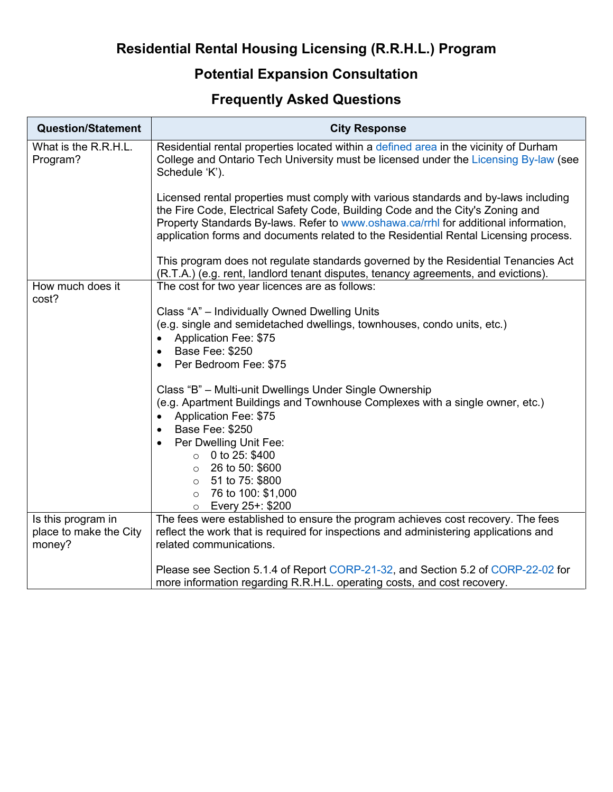## **Residential Rental Housing Licensing (R.R.H.L.) Program**

## **Potential Expansion Consultation**

## **Frequently Asked Questions**

| <b>Question/Statement</b>                              | <b>City Response</b>                                                                                                                                                                                                                                                                                                                                 |
|--------------------------------------------------------|------------------------------------------------------------------------------------------------------------------------------------------------------------------------------------------------------------------------------------------------------------------------------------------------------------------------------------------------------|
| What is the R.R.H.L.<br>Program?                       | Residential rental properties located within a defined area in the vicinity of Durham<br>College and Ontario Tech University must be licensed under the Licensing By-law (see<br>Schedule 'K').                                                                                                                                                      |
|                                                        | Licensed rental properties must comply with various standards and by-laws including<br>the Fire Code, Electrical Safety Code, Building Code and the City's Zoning and<br>Property Standards By-laws. Refer to www.oshawa.ca/rrhl for additional information,<br>application forms and documents related to the Residential Rental Licensing process. |
|                                                        | This program does not regulate standards governed by the Residential Tenancies Act<br>(R.T.A.) (e.g. rent, landlord tenant disputes, tenancy agreements, and evictions).                                                                                                                                                                             |
| How much does it<br>cost?                              | The cost for two year licences are as follows:                                                                                                                                                                                                                                                                                                       |
|                                                        | Class "A" - Individually Owned Dwelling Units<br>(e.g. single and semidetached dwellings, townhouses, condo units, etc.)<br>Application Fee: \$75<br>$\bullet$<br>Base Fee: \$250<br>$\bullet$<br>Per Bedroom Fee: \$75<br>$\bullet$                                                                                                                 |
|                                                        | Class "B" - Multi-unit Dwellings Under Single Ownership<br>(e.g. Apartment Buildings and Townhouse Complexes with a single owner, etc.)<br>Application Fee: \$75<br>$\bullet$<br><b>Base Fee: \$250</b><br>$\bullet$                                                                                                                                 |
|                                                        | Per Dwelling Unit Fee:<br>$\bullet$<br>$\circ$ 0 to 25: \$400<br>$\circ$ 26 to 50: \$600<br>51 to 75: \$800<br>$\circ$<br>76 to 100: \$1,000<br>$\circ$<br>Every 25+: \$200<br>$\circ$                                                                                                                                                               |
| Is this program in<br>place to make the City<br>money? | The fees were established to ensure the program achieves cost recovery. The fees<br>reflect the work that is required for inspections and administering applications and<br>related communications.                                                                                                                                                  |
|                                                        | Please see Section 5.1.4 of Report CORP-21-32, and Section 5.2 of CORP-22-02 for<br>more information regarding R.R.H.L. operating costs, and cost recovery.                                                                                                                                                                                          |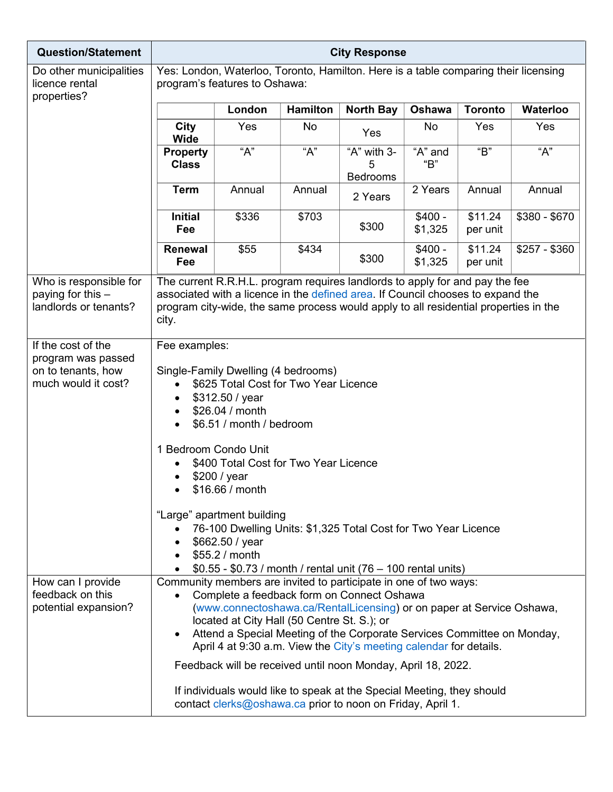| <b>Question/Statement</b>                                                             | <b>City Response</b>                                                                                                                                                                                                                                                                                                                                                                                                                                                                   |                                             |                 |                                                                                                                                                                                                                                                                                                                                                                                                                                                                                                                                                  |                     |                     |                  |  |
|---------------------------------------------------------------------------------------|----------------------------------------------------------------------------------------------------------------------------------------------------------------------------------------------------------------------------------------------------------------------------------------------------------------------------------------------------------------------------------------------------------------------------------------------------------------------------------------|---------------------------------------------|-----------------|--------------------------------------------------------------------------------------------------------------------------------------------------------------------------------------------------------------------------------------------------------------------------------------------------------------------------------------------------------------------------------------------------------------------------------------------------------------------------------------------------------------------------------------------------|---------------------|---------------------|------------------|--|
| Do other municipalities<br>licence rental<br>properties?                              | Yes: London, Waterloo, Toronto, Hamilton. Here is a table comparing their licensing<br>program's features to Oshawa:                                                                                                                                                                                                                                                                                                                                                                   |                                             |                 |                                                                                                                                                                                                                                                                                                                                                                                                                                                                                                                                                  |                     |                     |                  |  |
|                                                                                       |                                                                                                                                                                                                                                                                                                                                                                                                                                                                                        | London                                      | <b>Hamilton</b> | <b>North Bay</b>                                                                                                                                                                                                                                                                                                                                                                                                                                                                                                                                 | Oshawa              | <b>Toronto</b>      | Waterloo         |  |
|                                                                                       | City<br><b>Wide</b>                                                                                                                                                                                                                                                                                                                                                                                                                                                                    | Yes                                         | No              | Yes                                                                                                                                                                                                                                                                                                                                                                                                                                                                                                                                              | No                  | Yes                 | Yes              |  |
|                                                                                       | <b>Property</b><br><b>Class</b>                                                                                                                                                                                                                                                                                                                                                                                                                                                        | $\overline{A''}$                            | "A"             | "A" with 3-<br>5<br><b>Bedrooms</b>                                                                                                                                                                                                                                                                                                                                                                                                                                                                                                              | "A" and<br>"B"      | $\overline{B}$      | $\overline{A''}$ |  |
|                                                                                       | <b>Term</b>                                                                                                                                                                                                                                                                                                                                                                                                                                                                            | Annual                                      | Annual          | 2 Years                                                                                                                                                                                                                                                                                                                                                                                                                                                                                                                                          | 2 Years             | Annual              | Annual           |  |
|                                                                                       | <b>Initial</b><br>Fee                                                                                                                                                                                                                                                                                                                                                                                                                                                                  | \$336                                       | \$703           | \$300                                                                                                                                                                                                                                                                                                                                                                                                                                                                                                                                            | $$400 -$<br>\$1,325 | \$11.24<br>per unit | $$380 - $670$    |  |
|                                                                                       | Renewal<br>Fee                                                                                                                                                                                                                                                                                                                                                                                                                                                                         | \$55                                        | \$434           | \$300                                                                                                                                                                                                                                                                                                                                                                                                                                                                                                                                            | $$400 -$<br>\$1,325 | \$11.24<br>per unit | $$257 - $360$    |  |
| Who is responsible for<br>paying for this $-$<br>landlords or tenants?                | city.                                                                                                                                                                                                                                                                                                                                                                                                                                                                                  |                                             |                 | The current R.R.H.L. program requires landlords to apply for and pay the fee<br>associated with a licence in the defined area. If Council chooses to expand the<br>program city-wide, the same process would apply to all residential properties in the                                                                                                                                                                                                                                                                                          |                     |                     |                  |  |
| If the cost of the<br>program was passed<br>on to tenants, how<br>much would it cost? | Fee examples:<br>Single-Family Dwelling (4 bedrooms)<br>\$625 Total Cost for Two Year Licence<br>\$312.50 / year<br>$\bullet$<br>\$26.04 / month<br>\$6.51 / month / bedroom<br>1 Bedroom Condo Unit<br>\$400 Total Cost for Two Year Licence<br>\$200 / year<br>\$16.66 / month<br>"Large" apartment building<br>76-100 Dwelling Units: \$1,325 Total Cost for Two Year Licence<br>\$662.50 / year<br>\$55.2 / month<br>\$0.55 - \$0.73 / month / rental unit (76 - 100 rental units) |                                             |                 |                                                                                                                                                                                                                                                                                                                                                                                                                                                                                                                                                  |                     |                     |                  |  |
| How can I provide<br>feedback on this<br>potential expansion?                         |                                                                                                                                                                                                                                                                                                                                                                                                                                                                                        | located at City Hall (50 Centre St. S.); or |                 | Community members are invited to participate in one of two ways:<br>Complete a feedback form on Connect Oshawa<br>(www.connectoshawa.ca/RentalLicensing) or on paper at Service Oshawa,<br>Attend a Special Meeting of the Corporate Services Committee on Monday,<br>April 4 at 9:30 a.m. View the City's meeting calendar for details.<br>Feedback will be received until noon Monday, April 18, 2022.<br>If individuals would like to speak at the Special Meeting, they should<br>contact clerks@oshawa.ca prior to noon on Friday, April 1. |                     |                     |                  |  |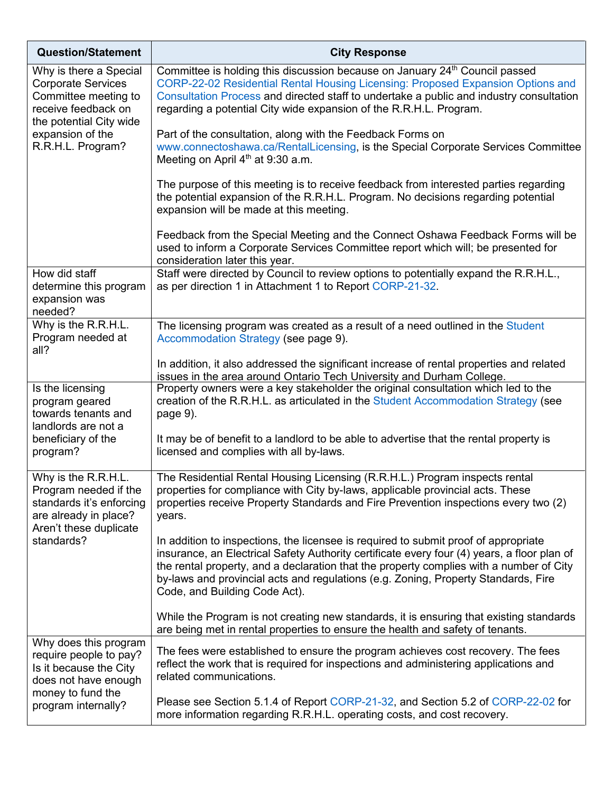| <b>Question/Statement</b>                                                                                                                                              | <b>City Response</b>                                                                                                                                                                                                                                                                                                                                                                                 |
|------------------------------------------------------------------------------------------------------------------------------------------------------------------------|------------------------------------------------------------------------------------------------------------------------------------------------------------------------------------------------------------------------------------------------------------------------------------------------------------------------------------------------------------------------------------------------------|
| Why is there a Special<br><b>Corporate Services</b><br>Committee meeting to<br>receive feedback on<br>the potential City wide<br>expansion of the<br>R.R.H.L. Program? | Committee is holding this discussion because on January 24 <sup>th</sup> Council passed<br>CORP-22-02 Residential Rental Housing Licensing: Proposed Expansion Options and<br>Consultation Process and directed staff to undertake a public and industry consultation<br>regarding a potential City wide expansion of the R.R.H.L. Program.                                                          |
|                                                                                                                                                                        | Part of the consultation, along with the Feedback Forms on<br>www.connectoshawa.ca/RentalLicensing, is the Special Corporate Services Committee<br>Meeting on April $4th$ at 9:30 a.m.                                                                                                                                                                                                               |
|                                                                                                                                                                        | The purpose of this meeting is to receive feedback from interested parties regarding<br>the potential expansion of the R.R.H.L. Program. No decisions regarding potential<br>expansion will be made at this meeting.                                                                                                                                                                                 |
|                                                                                                                                                                        | Feedback from the Special Meeting and the Connect Oshawa Feedback Forms will be<br>used to inform a Corporate Services Committee report which will; be presented for<br>consideration later this year.                                                                                                                                                                                               |
| How did staff<br>determine this program<br>expansion was<br>needed?                                                                                                    | Staff were directed by Council to review options to potentially expand the R.R.H.L.,<br>as per direction 1 in Attachment 1 to Report CORP-21-32.                                                                                                                                                                                                                                                     |
| Why is the R.R.H.L.<br>Program needed at<br>all?                                                                                                                       | The licensing program was created as a result of a need outlined in the Student<br>Accommodation Strategy (see page 9).                                                                                                                                                                                                                                                                              |
|                                                                                                                                                                        | In addition, it also addressed the significant increase of rental properties and related<br>issues in the area around Ontario Tech University and Durham College.                                                                                                                                                                                                                                    |
| Is the licensing<br>program geared<br>towards tenants and<br>landlords are not a<br>beneficiary of the<br>program?                                                     | Property owners were a key stakeholder the original consultation which led to the<br>creation of the R.R.H.L. as articulated in the Student Accommodation Strategy (see<br>page 9).                                                                                                                                                                                                                  |
|                                                                                                                                                                        | It may be of benefit to a landlord to be able to advertise that the rental property is<br>licensed and complies with all by-laws.                                                                                                                                                                                                                                                                    |
| Why is the R.R.H.L.<br>Program needed if the<br>standards it's enforcing<br>are already in place?<br>Aren't these duplicate<br>standards?                              | The Residential Rental Housing Licensing (R.R.H.L.) Program inspects rental<br>properties for compliance with City by-laws, applicable provincial acts. These<br>properties receive Property Standards and Fire Prevention inspections every two (2)<br>years.                                                                                                                                       |
|                                                                                                                                                                        | In addition to inspections, the licensee is required to submit proof of appropriate<br>insurance, an Electrical Safety Authority certificate every four (4) years, a floor plan of<br>the rental property, and a declaration that the property complies with a number of City<br>by-laws and provincial acts and regulations (e.g. Zoning, Property Standards, Fire<br>Code, and Building Code Act). |
|                                                                                                                                                                        | While the Program is not creating new standards, it is ensuring that existing standards<br>are being met in rental properties to ensure the health and safety of tenants.                                                                                                                                                                                                                            |
| Why does this program<br>require people to pay?<br>Is it because the City<br>does not have enough<br>money to fund the<br>program internally?                          | The fees were established to ensure the program achieves cost recovery. The fees<br>reflect the work that is required for inspections and administering applications and<br>related communications.                                                                                                                                                                                                  |
|                                                                                                                                                                        | Please see Section 5.1.4 of Report CORP-21-32, and Section 5.2 of CORP-22-02 for<br>more information regarding R.R.H.L. operating costs, and cost recovery.                                                                                                                                                                                                                                          |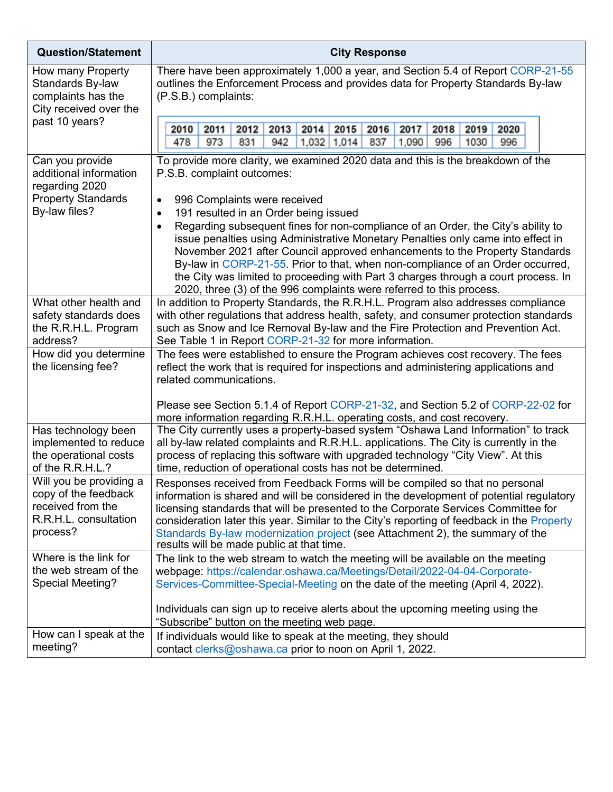| <b>Question/Statement</b>                                                                                 | <b>City Response</b>                                                                                                                                                                                                                                                                                                                                                                                                                                                                                                                                                                                                                                                                                                                 |  |  |  |
|-----------------------------------------------------------------------------------------------------------|--------------------------------------------------------------------------------------------------------------------------------------------------------------------------------------------------------------------------------------------------------------------------------------------------------------------------------------------------------------------------------------------------------------------------------------------------------------------------------------------------------------------------------------------------------------------------------------------------------------------------------------------------------------------------------------------------------------------------------------|--|--|--|
| How many Property<br>Standards By-law<br>complaints has the<br>City received over the<br>past 10 years?   | There have been approximately 1,000 a year, and Section 5.4 of Report CORP-21-55<br>outlines the Enforcement Process and provides data for Property Standards By-law<br>(P.S.B.) complaints:                                                                                                                                                                                                                                                                                                                                                                                                                                                                                                                                         |  |  |  |
|                                                                                                           | 2013<br>2014<br>2015<br>2017<br>2020<br>2010<br>2011<br>2012<br>2016<br>2018<br>2019<br>973<br>831<br>478<br>942<br>$1,032$ 1,014<br>837<br>1,090<br>996<br>1030<br>996                                                                                                                                                                                                                                                                                                                                                                                                                                                                                                                                                              |  |  |  |
| Can you provide<br>additional information<br>regarding 2020<br><b>Property Standards</b><br>By-law files? | To provide more clarity, we examined 2020 data and this is the breakdown of the<br>P.S.B. complaint outcomes:<br>996 Complaints were received<br>$\bullet$<br>191 resulted in an Order being issued<br>$\bullet$<br>Regarding subsequent fines for non-compliance of an Order, the City's ability to<br>$\bullet$<br>issue penalties using Administrative Monetary Penalties only came into effect in<br>November 2021 after Council approved enhancements to the Property Standards<br>By-law in CORP-21-55. Prior to that, when non-compliance of an Order occurred,<br>the City was limited to proceeding with Part 3 charges through a court process. In<br>2020, three (3) of the 996 complaints were referred to this process. |  |  |  |
| What other health and<br>safety standards does<br>the R.R.H.L. Program<br>address?                        | In addition to Property Standards, the R.R.H.L. Program also addresses compliance<br>with other regulations that address health, safety, and consumer protection standards<br>such as Snow and Ice Removal By-law and the Fire Protection and Prevention Act.<br>See Table 1 in Report CORP-21-32 for more information.                                                                                                                                                                                                                                                                                                                                                                                                              |  |  |  |
| How did you determine<br>the licensing fee?                                                               | The fees were established to ensure the Program achieves cost recovery. The fees<br>reflect the work that is required for inspections and administering applications and<br>related communications.<br>Please see Section 5.1.4 of Report CORP-21-32, and Section 5.2 of CORP-22-02 for<br>more information regarding R.R.H.L. operating costs, and cost recovery.                                                                                                                                                                                                                                                                                                                                                                   |  |  |  |
| Has technology been<br>implemented to reduce<br>the operational costs<br>of the R.R.H.L.?                 | The City currently uses a property-based system "Oshawa Land Information" to track<br>all by-law related complaints and R.R.H.L. applications. The City is currently in the<br>process of replacing this software with upgraded technology "City View". At this<br>time, reduction of operational costs has not be determined.                                                                                                                                                                                                                                                                                                                                                                                                       |  |  |  |
| Will you be providing a<br>copy of the feedback<br>received from the<br>R.R.H.L. consultation<br>process? | Responses received from Feedback Forms will be compiled so that no personal<br>information is shared and will be considered in the development of potential regulatory<br>licensing standards that will be presented to the Corporate Services Committee for<br>consideration later this year. Similar to the City's reporting of feedback in the Property<br>Standards By-law modernization project (see Attachment 2), the summary of the<br>results will be made public at that time.                                                                                                                                                                                                                                             |  |  |  |
| Where is the link for<br>the web stream of the<br>Special Meeting?                                        | The link to the web stream to watch the meeting will be available on the meeting<br>webpage: https://calendar.oshawa.ca/Meetings/Detail/2022-04-04-Corporate-<br>Services-Committee-Special-Meeting on the date of the meeting (April 4, 2022).                                                                                                                                                                                                                                                                                                                                                                                                                                                                                      |  |  |  |
|                                                                                                           | Individuals can sign up to receive alerts about the upcoming meeting using the<br>"Subscribe" button on the meeting web page.                                                                                                                                                                                                                                                                                                                                                                                                                                                                                                                                                                                                        |  |  |  |
| How can I speak at the<br>meeting?                                                                        | If individuals would like to speak at the meeting, they should<br>contact clerks@oshawa.ca prior to noon on April 1, 2022.                                                                                                                                                                                                                                                                                                                                                                                                                                                                                                                                                                                                           |  |  |  |